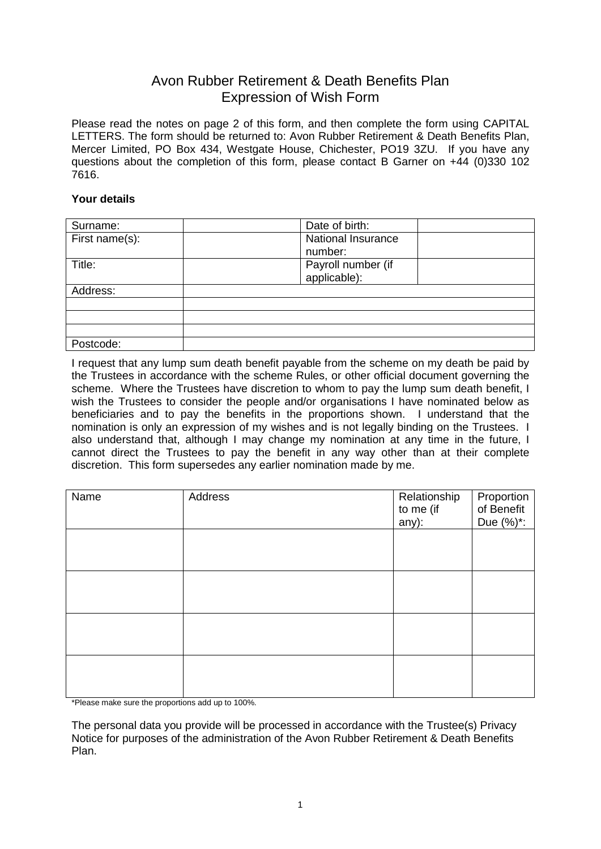## Avon Rubber Retirement & Death Benefits Plan Expression of Wish Form

Please read the notes on page 2 of this form, and then complete the form using CAPITAL LETTERS. The form should be returned to: Avon Rubber Retirement & Death Benefits Plan, Mercer Limited, PO Box 434, Westgate House, Chichester, PO19 3ZU. If you have any questions about the completion of this form, please contact B Garner on +44 (0)330 102 7616.

## **Your details**

| Surname:       | Date of birth:            |
|----------------|---------------------------|
| First name(s): | <b>National Insurance</b> |
|                | number:                   |
| Title:         | Payroll number (if        |
|                | applicable):              |
| Address:       |                           |
|                |                           |
|                |                           |
|                |                           |
| Postcode:      |                           |

I request that any lump sum death benefit payable from the scheme on my death be paid by the Trustees in accordance with the scheme Rules, or other official document governing the scheme. Where the Trustees have discretion to whom to pay the lump sum death benefit, I wish the Trustees to consider the people and/or organisations I have nominated below as beneficiaries and to pay the benefits in the proportions shown. I understand that the nomination is only an expression of my wishes and is not legally binding on the Trustees. I also understand that, although I may change my nomination at any time in the future, I cannot direct the Trustees to pay the benefit in any way other than at their complete discretion. This form supersedes any earlier nomination made by me.

| Name | Address | Relationship<br>to me (if<br>any): | Proportion<br>of Benefit<br>Due (%)*: |
|------|---------|------------------------------------|---------------------------------------|
|      |         |                                    |                                       |
|      |         |                                    |                                       |
|      |         |                                    |                                       |
|      |         |                                    |                                       |

\*Please make sure the proportions add up to 100%.

The personal data you provide will be processed in accordance with the Trustee(s) Privacy Notice for purposes of the administration of the Avon Rubber Retirement & Death Benefits Plan.